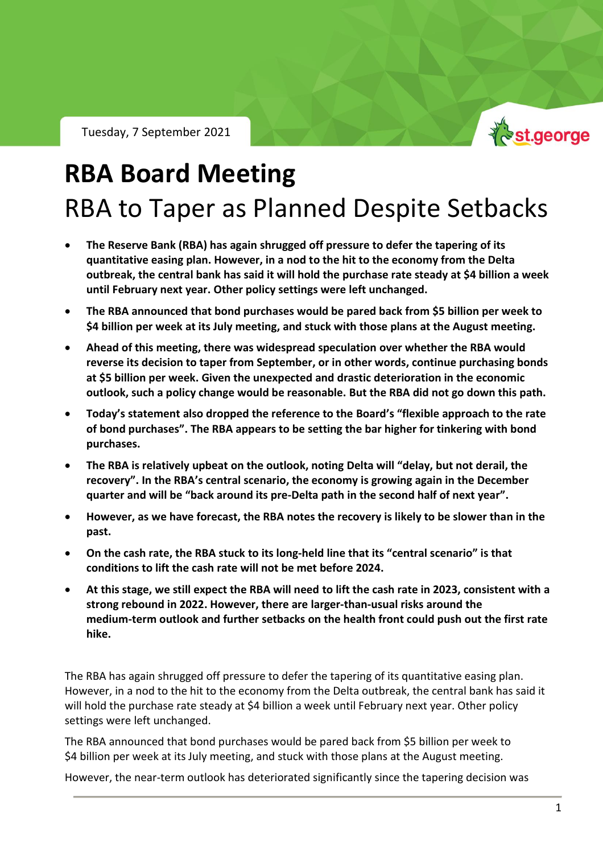

## **RBA Board Meeting** RBA to Taper as Planned Despite Setbacks

- **The Reserve Bank (RBA) has again shrugged off pressure to defer the tapering of its quantitative easing plan. However, in a nod to the hit to the economy from the Delta outbreak, the central bank has said it will hold the purchase rate steady at \$4 billion a week until February next year. Other policy settings were left unchanged.**
- **The RBA announced that bond purchases would be pared back from \$5 billion per week to \$4 billion per week at its July meeting, and stuck with those plans at the August meeting.**
- **Ahead of this meeting, there was widespread speculation over whether the RBA would reverse its decision to taper from September, or in other words, continue purchasing bonds at \$5 billion per week. Given the unexpected and drastic deterioration in the economic outlook, such a policy change would be reasonable. But the RBA did not go down this path.**
- **Today's statement also dropped the reference to the Board's "flexible approach to the rate of bond purchases". The RBA appears to be setting the bar higher for tinkering with bond purchases.**
- **The RBA is relatively upbeat on the outlook, noting Delta will "delay, but not derail, the recovery". In the RBA's central scenario, the economy is growing again in the December quarter and will be "back around its pre-Delta path in the second half of next year".**
- **However, as we have forecast, the RBA notes the recovery is likely to be slower than in the past.**
- **On the cash rate, the RBA stuck to its long-held line that its "central scenario" is that conditions to lift the cash rate will not be met before 2024.**
- **At this stage, we still expect the RBA will need to lift the cash rate in 2023, consistent with a strong rebound in 2022. However, there are larger-than-usual risks around the medium-term outlook and further setbacks on the health front could push out the first rate hike.**

The RBA has again shrugged off pressure to defer the tapering of its quantitative easing plan. However, in a nod to the hit to the economy from the Delta outbreak, the central bank has said it will hold the purchase rate steady at \$4 billion a week until February next year. Other policy settings were left unchanged.

The RBA announced that bond purchases would be pared back from \$5 billion per week to \$4 billion per week at its July meeting, and stuck with those plans at the August meeting.

However, the near-term outlook has deteriorated significantly since the tapering decision was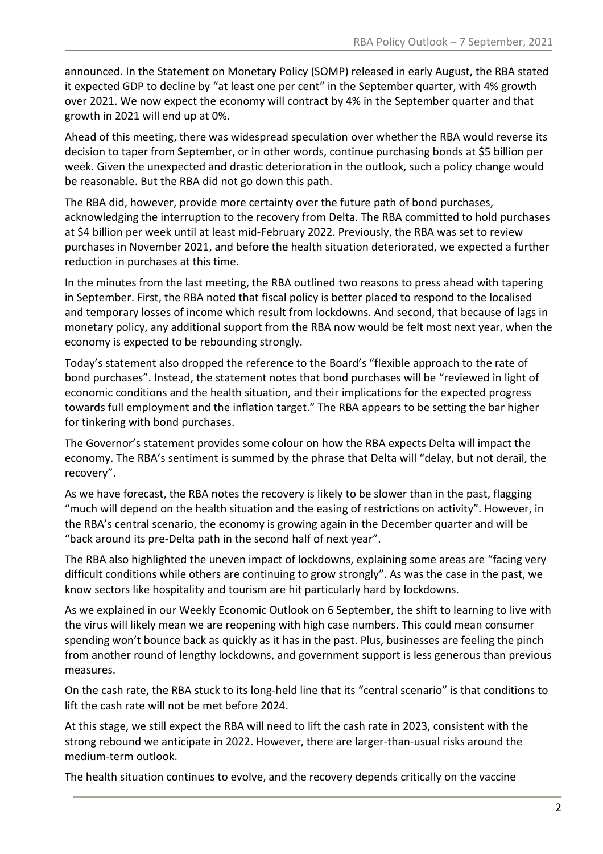announced. In the Statement on Monetary Policy (SOMP) released in early August, the RBA stated it expected GDP to decline by "at least one per cent" in the September quarter, with 4% growth over 2021. We now expect the economy will contract by 4% in the September quarter and that growth in 2021 will end up at 0%.

Ahead of this meeting, there was widespread speculation over whether the RBA would reverse its decision to taper from September, or in other words, continue purchasing bonds at \$5 billion per week. Given the unexpected and drastic deterioration in the outlook, such a policy change would be reasonable. But the RBA did not go down this path.

The RBA did, however, provide more certainty over the future path of bond purchases, acknowledging the interruption to the recovery from Delta. The RBA committed to hold purchases at \$4 billion per week until at least mid-February 2022. Previously, the RBA was set to review purchases in November 2021, and before the health situation deteriorated, we expected a further reduction in purchases at this time.

In the minutes from the last meeting, the RBA outlined two reasons to press ahead with tapering in September. First, the RBA noted that fiscal policy is better placed to respond to the localised and temporary losses of income which result from lockdowns. And second, that because of lags in monetary policy, any additional support from the RBA now would be felt most next year, when the economy is expected to be rebounding strongly.

Today's statement also dropped the reference to the Board's "flexible approach to the rate of bond purchases". Instead, the statement notes that bond purchases will be "reviewed in light of economic conditions and the health situation, and their implications for the expected progress towards full employment and the inflation target." The RBA appears to be setting the bar higher for tinkering with bond purchases.

The Governor's statement provides some colour on how the RBA expects Delta will impact the economy. The RBA's sentiment is summed by the phrase that Delta will "delay, but not derail, the recovery".

As we have forecast, the RBA notes the recovery is likely to be slower than in the past, flagging "much will depend on the health situation and the easing of restrictions on activity". However, in the RBA's central scenario, the economy is growing again in the December quarter and will be "back around its pre-Delta path in the second half of next year".

The RBA also highlighted the uneven impact of lockdowns, explaining some areas are "facing very difficult conditions while others are continuing to grow strongly". As was the case in the past, we know sectors like hospitality and tourism are hit particularly hard by lockdowns.

As we explained in our Weekly Economic Outlook on 6 September, the shift to learning to live with the virus will likely mean we are reopening with high case numbers. This could mean consumer spending won't bounce back as quickly as it has in the past. Plus, businesses are feeling the pinch from another round of lengthy lockdowns, and government support is less generous than previous measures.

On the cash rate, the RBA stuck to its long-held line that its "central scenario" is that conditions to lift the cash rate will not be met before 2024.

At this stage, we still expect the RBA will need to lift the cash rate in 2023, consistent with the strong rebound we anticipate in 2022. However, there are larger-than-usual risks around the medium-term outlook.

The health situation continues to evolve, and the recovery depends critically on the vaccine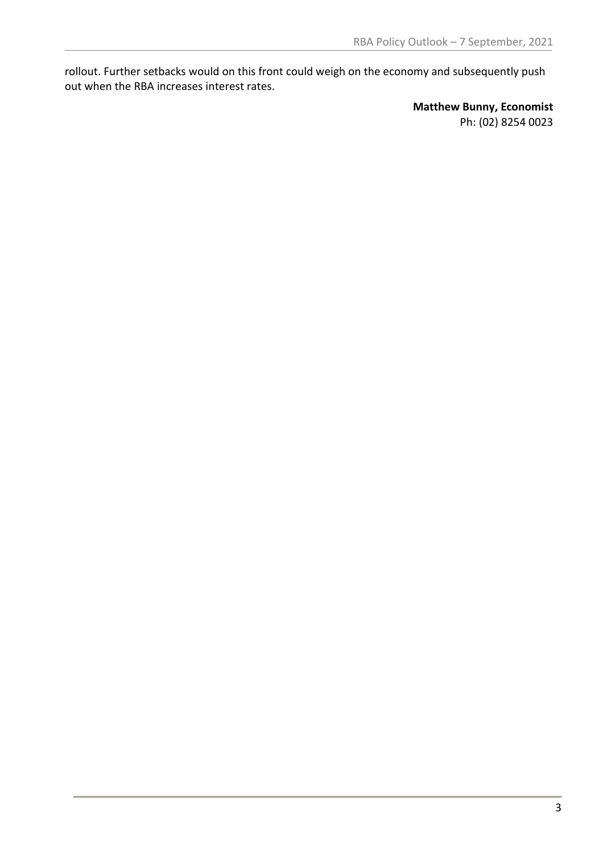rollout. Further setbacks would on this front could weigh on the economy and subsequently push out when the RBA increases interest rates.

> **Matthew Bunny, Economist** Ph: (02) 8254 0023